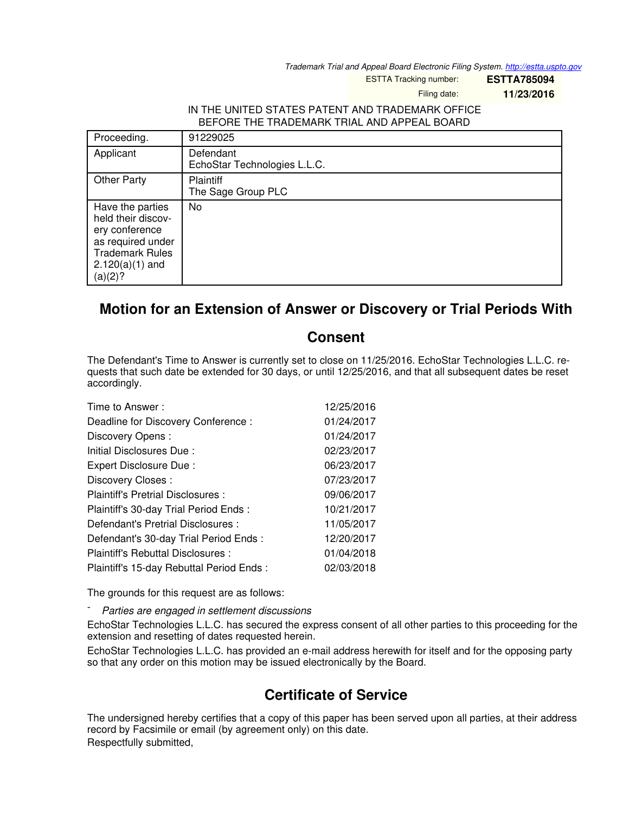*Trademark Trial and Appeal Board Electronic Filing System. <http://estta.uspto.gov>*

ESTTA Tracking number: **ESTTA785094**

Filing date: **11/23/2016**

## IN THE UNITED STATES PATENT AND TRADEMARK OFFICE BEFORE THE TRADEMARK TRIAL AND APPEAL BOARD

| Proceeding.                                                                                                                             | 91229025                                  |
|-----------------------------------------------------------------------------------------------------------------------------------------|-------------------------------------------|
| Applicant                                                                                                                               | Defendant<br>EchoStar Technologies L.L.C. |
| <b>Other Party</b>                                                                                                                      | Plaintiff<br>The Sage Group PLC           |
| Have the parties<br>held their discov-<br>ery conference<br>as required under<br><b>Trademark Rules</b><br>$2.120(a)(1)$ and<br>(a)(2)? | No                                        |

## **Motion for an Extension of Answer or Discovery or Trial Periods With**

## **Consent**

The Defendant's Time to Answer is currently set to close on 11/25/2016. EchoStar Technologies L.L.C. requests that such date be extended for 30 days, or until 12/25/2016, and that all subsequent dates be reset accordingly.

| Time to Answer:                          | 12/25/2016 |
|------------------------------------------|------------|
| Deadline for Discovery Conference :      | 01/24/2017 |
| Discovery Opens:                         | 01/24/2017 |
| Initial Disclosures Due:                 | 02/23/2017 |
| Expert Disclosure Due:                   | 06/23/2017 |
| Discovery Closes:                        | 07/23/2017 |
| Plaintiff's Pretrial Disclosures :       | 09/06/2017 |
| Plaintiff's 30-day Trial Period Ends:    | 10/21/2017 |
| Defendant's Pretrial Disclosures :       | 11/05/2017 |
| Defendant's 30-day Trial Period Ends:    | 12/20/2017 |
| Plaintiff's Rebuttal Disclosures:        | 01/04/2018 |
| Plaintiff's 15-day Rebuttal Period Ends: | 02/03/2018 |

The grounds for this request are as follows:

- *Parties are engaged in settlement discussions*

EchoStar Technologies L.L.C. has secured the express consent of all other parties to this proceeding for the extension and resetting of dates requested herein.

EchoStar Technologies L.L.C. has provided an e-mail address herewith for itself and for the opposing party so that any order on this motion may be issued electronically by the Board.

## **Certificate of Service**

The undersigned hereby certifies that a copy of this paper has been served upon all parties, at their address record by Facsimile or email (by agreement only) on this date. Respectfully submitted,